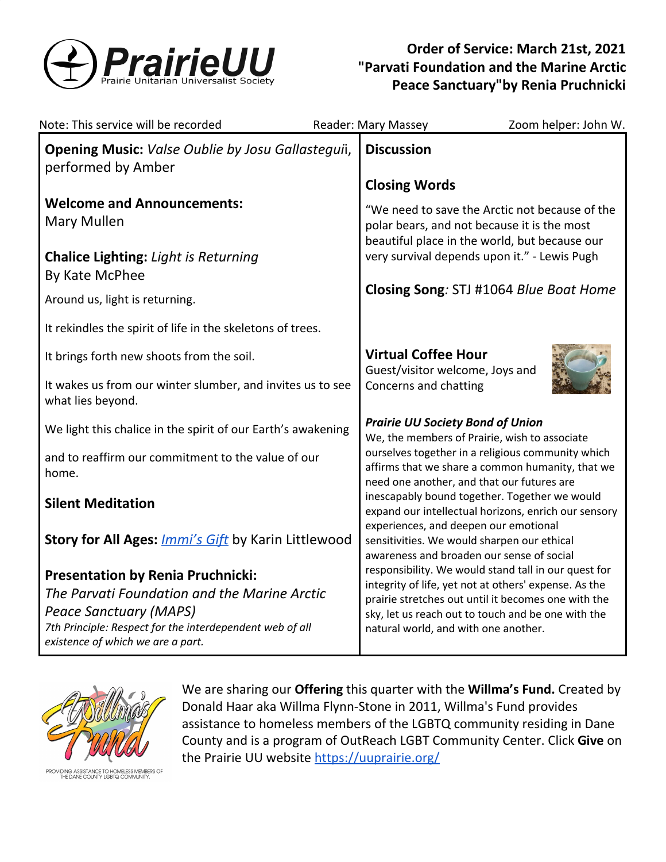

# **Order of Service: March 21st, 2021 "Parvati Foundation and the Marine Arctic Peace Sanctuary"by Renia Pruchnicki**

| Note: This service will be recorded                                                                                                                                                                                        | Zoom helper: John W.<br>Reader: Mary Massey                                                                                                                                                                                                                        |
|----------------------------------------------------------------------------------------------------------------------------------------------------------------------------------------------------------------------------|--------------------------------------------------------------------------------------------------------------------------------------------------------------------------------------------------------------------------------------------------------------------|
| Opening Music: Valse Oublie by Josu Gallasteguii,<br>performed by Amber                                                                                                                                                    | <b>Discussion</b>                                                                                                                                                                                                                                                  |
|                                                                                                                                                                                                                            | <b>Closing Words</b>                                                                                                                                                                                                                                               |
| <b>Welcome and Announcements:</b><br><b>Mary Mullen</b>                                                                                                                                                                    | "We need to save the Arctic not because of the<br>polar bears, and not because it is the most<br>beautiful place in the world, but because our                                                                                                                     |
| <b>Chalice Lighting: Light is Returning</b><br>By Kate McPhee                                                                                                                                                              | very survival depends upon it." - Lewis Pugh                                                                                                                                                                                                                       |
| Around us, light is returning.                                                                                                                                                                                             | Closing Song: STJ #1064 Blue Boat Home                                                                                                                                                                                                                             |
| It rekindles the spirit of life in the skeletons of trees.                                                                                                                                                                 |                                                                                                                                                                                                                                                                    |
| It brings forth new shoots from the soil.                                                                                                                                                                                  | <b>Virtual Coffee Hour</b><br>Guest/visitor welcome, Joys and                                                                                                                                                                                                      |
| It wakes us from our winter slumber, and invites us to see<br>what lies beyond.                                                                                                                                            | Concerns and chatting                                                                                                                                                                                                                                              |
| We light this chalice in the spirit of our Earth's awakening                                                                                                                                                               | <b>Prairie UU Society Bond of Union</b><br>We, the members of Prairie, wish to associate                                                                                                                                                                           |
| and to reaffirm our commitment to the value of our<br>home.                                                                                                                                                                | ourselves together in a religious community which<br>affirms that we share a common humanity, that we                                                                                                                                                              |
| <b>Silent Meditation</b>                                                                                                                                                                                                   | need one another, and that our futures are<br>inescapably bound together. Together we would<br>expand our intellectual horizons, enrich our sensory<br>experiences, and deepen our emotional                                                                       |
| <b>Story for All Ages: <i>Immi's Gift</i></b> by Karin Littlewood                                                                                                                                                          | sensitivities. We would sharpen our ethical<br>awareness and broaden our sense of social                                                                                                                                                                           |
| <b>Presentation by Renia Pruchnicki:</b><br>The Parvati Foundation and the Marine Arctic<br><b>Peace Sanctuary (MAPS)</b><br>7th Principle: Respect for the interdependent web of all<br>existence of which we are a part. | responsibility. We would stand tall in our quest for<br>integrity of life, yet not at others' expense. As the<br>prairie stretches out until it becomes one with the<br>sky, let us reach out to touch and be one with the<br>natural world, and with one another. |



We are sharing our **Offering** this quarter with the **Willma's Fund.** Created by Donald Haar aka Willma Flynn-Stone in 2011, Willma's Fund provides assistance to homeless members of the LGBTQ community residing in Dane County and is a program of OutReach LGBT Community Center. Click **Give** on the Prairie UU website <https://uuprairie.org/>

NG ASSISTANCE TO HOMELESS MEMBERS OF<br>E DANE COUNTY LGBTQ COMMUNITY.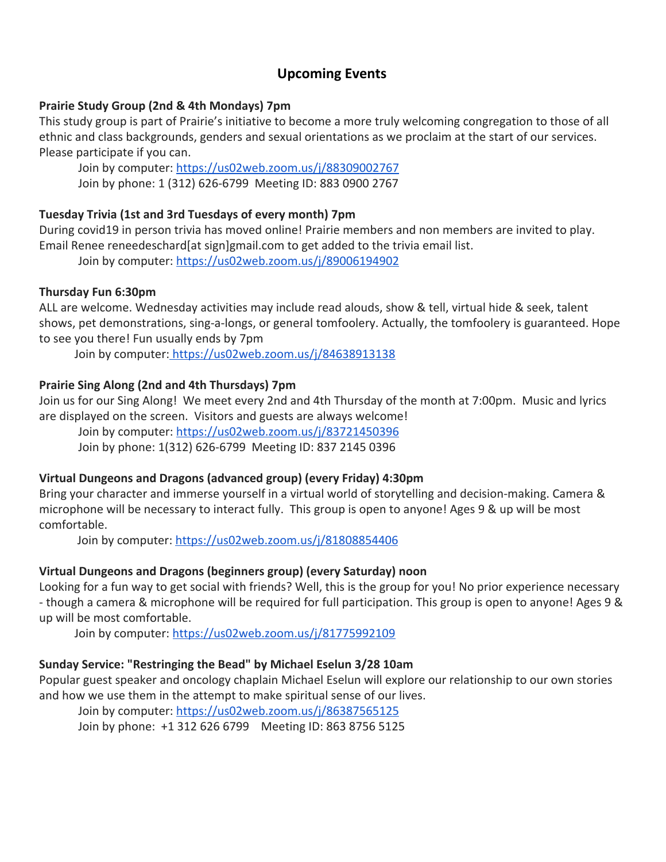## **Upcoming Events**

#### **Prairie Study Group (2nd & 4th Mondays) 7pm**

This study group is part of Prairie's initiative to become a more truly welcoming congregation to those of all ethnic and class backgrounds, genders and sexual orientations as we proclaim at the start of our services. Please participate if you can.

Join by computer: <https://us02web.zoom.us/j/88309002767> Join by phone: 1 (312) 626-6799 Meeting ID: 883 0900 2767

## **Tuesday Trivia (1st and 3rd Tuesdays of every month) 7pm**

During covid19 in person trivia has moved online! Prairie members and non members are invited to play. Email Renee reneedeschard[at sign]gmail.com to get added to the trivia email list.

Join by computer: <https://us02web.zoom.us/j/89006194902>

### **Thursday Fun 6:30pm**

ALL are welcome. Wednesday activities may include read alouds, show & tell, virtual hide & seek, talent shows, pet demonstrations, sing-a-longs, or general tomfoolery. Actually, the tomfoolery is guaranteed. Hope to see you there! Fun usually ends by 7pm

Join by computer: <https://us02web.zoom.us/j/84638913138>

## **Prairie Sing Along (2nd and 4th Thursdays) 7pm**

Join us for our Sing Along! We meet every 2nd and 4th Thursday of the month at 7:00pm. Music and lyrics are displayed on the screen. Visitors and guests are always welcome!

[Join by computer](https://us02web.zoom.us/j/85355334298):<https://us02web.zoom.us/j/83721450396> Join by phone: 1(312) 626-6799 Meeting ID: 837 2145 0396

### **Virtual Dungeons and Dragons (advanced group) (every Friday) 4:30pm**

Bring your character and immerse yourself in a virtual world of storytelling and decision-making. Camera & microphone will be necessary to interact fully. This group is open to anyone! Ages 9 & up will be most comfortable.

Join by computer: <https://us02web.zoom.us/j/81808854406>

## **Virtual Dungeons and Dragons (beginners group) (every Saturday) noon**

Looking for a fun way to get social with friends? Well, this is the group for you! No prior experience necessary - though a camera & microphone will be required for full participation. This group is open to anyone! Ages 9 & up will be most comfortable.

Join by computer: <https://us02web.zoom.us/j/81775992109>

### **Sunday Service: "Restringing the Bead" by Michael Eselun 3/28 10am**

Popular guest speaker and oncology chaplain Michael Eselun will explore our relationship to our own stories and how we use them in the attempt to make spiritual sense of our lives.

Join by computer[:](https://us02web.zoom.us/j/86847774364) <https://us02web.zoom.us/j/86387565125>

Join by phone: +1 312 626 6799 Meeting ID: 863 8756 5125